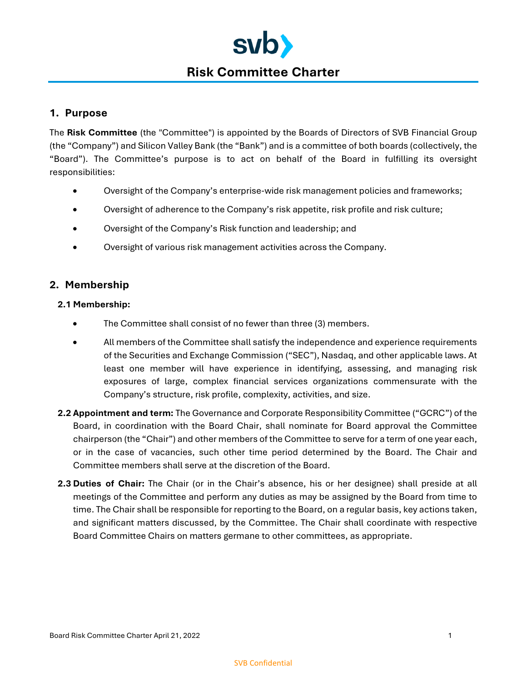

# **1. Purpose**

The **Risk Committee** (the "Committee") is appointed by the Boards of Directors of SVB Financial Group (the "Company") and Silicon Valley Bank (the "Bank") and is a committee of both boards (collectively, the "Board"). The Committee's purpose is to act on behalf of the Board in fulfilling its oversight responsibilities:

- Oversight of the Company's enterprise-wide risk management policies and frameworks;
- Oversight of adherence to the Company's risk appetite, risk profile and risk culture;
- Oversight of the Company's Risk function and leadership; and
- Oversight of various risk management activities across the Company.

# **2. Membership**

## **2.1 Membership:**

- The Committee shall consist of no fewer than three (3) members.
- All members of the Committee shall satisfy the independence and experience requirements of the Securities and Exchange Commission ("SEC"), Nasdaq, and other applicable laws. At least one member will have experience in identifying, assessing, and managing risk exposures of large, complex financial services organizations commensurate with the Company's structure, risk profile, complexity, activities, and size.
- **2.2 Appointment and term:** The Governance and Corporate Responsibility Committee ("GCRC") of the Board, in coordination with the Board Chair, shall nominate for Board approval the Committee chairperson (the "Chair") and other members of the Committee to serve for a term of one year each, or in the case of vacancies, such other time period determined by the Board. The Chair and Committee members shall serve at the discretion of the Board.
- **2.3 Duties of Chair:** The Chair (or in the Chair's absence, his or her designee) shall preside at all meetings of the Committee and perform any duties as may be assigned by the Board from time to time. The Chair shall be responsible for reporting to the Board, on a regular basis, key actions taken, and significant matters discussed, by the Committee. The Chair shall coordinate with respective Board Committee Chairs on matters germane to other committees, as appropriate.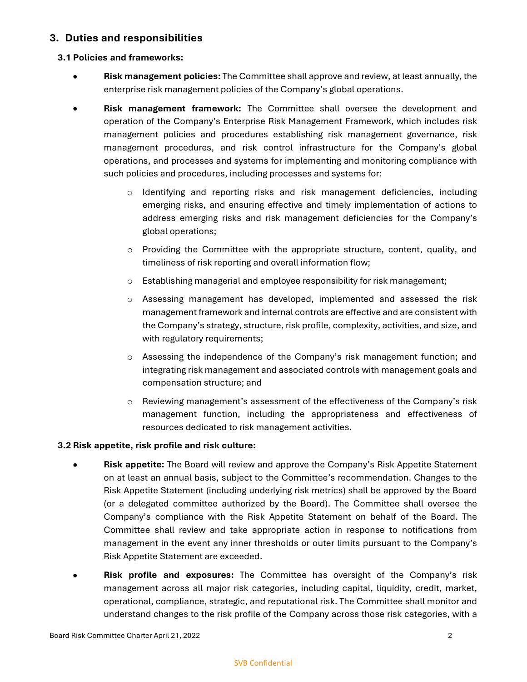# **3. Duties and responsibilities**

### **3.1 Policies and frameworks:**

- **Risk management policies:** The Committee shall approve and review, at least annually, the enterprise risk management policies of the Company's global operations.
- **Risk management framework:** The Committee shall oversee the development and operation of the Company's Enterprise Risk Management Framework, which includes risk management policies and procedures establishing risk management governance, risk management procedures, and risk control infrastructure for the Company's global operations, and processes and systems for implementing and monitoring compliance with such policies and procedures, including processes and systems for:
	- o Identifying and reporting risks and risk management deficiencies, including emerging risks, and ensuring effective and timely implementation of actions to address emerging risks and risk management deficiencies for the Company's global operations;
	- $\circ$  Providing the Committee with the appropriate structure, content, quality, and timeliness of risk reporting and overall information flow;
	- o Establishing managerial and employee responsibility for risk management;
	- $\circ$  Assessing management has developed, implemented and assessed the risk management framework and internal controls are effective and are consistent with the Company's strategy, structure, risk profile, complexity, activities, and size, and with regulatory requirements;
	- o Assessing the independence of the Company's risk management function; and integrating risk management and associated controls with management goals and compensation structure; and
	- o Reviewing management's assessment of the effectiveness of the Company's risk management function, including the appropriateness and effectiveness of resources dedicated to risk management activities.

### **3.2 Risk appetite, risk profile and risk culture:**

- **Risk appetite:** The Board will review and approve the Company's Risk Appetite Statement on at least an annual basis, subject to the Committee's recommendation. Changes to the Risk Appetite Statement (including underlying risk metrics) shall be approved by the Board (or a delegated committee authorized by the Board). The Committee shall oversee the Company's compliance with the Risk Appetite Statement on behalf of the Board. The Committee shall review and take appropriate action in response to notifications from management in the event any inner thresholds or outer limits pursuant to the Company's Risk Appetite Statement are exceeded.
- **Risk profile and exposures:** The Committee has oversight of the Company's risk management across all major risk categories, including capital, liquidity, credit, market, operational, compliance, strategic, and reputational risk. The Committee shall monitor and understand changes to the risk profile of the Company across those risk categories, with a

#### SVB Confidential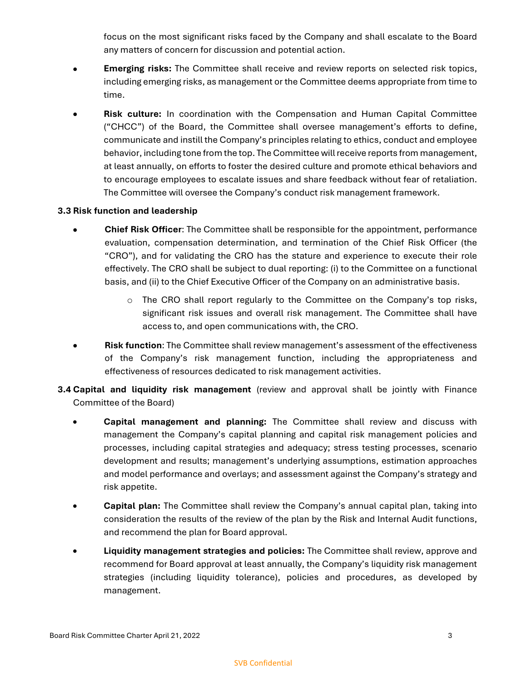focus on the most significant risks faced by the Company and shall escalate to the Board any matters of concern for discussion and potential action.

- **Emerging risks:** The Committee shall receive and review reports on selected risk topics, including emerging risks, as management or the Committee deems appropriate from time to time.
- **Risk culture:** In coordination with the Compensation and Human Capital Committee ("CHCC") of the Board, the Committee shall oversee management's efforts to define, communicate and instill the Company's principles relating to ethics, conduct and employee behavior, including tone from the top. The Committee will receive reports from management, at least annually, on efforts to foster the desired culture and promote ethical behaviors and to encourage employees to escalate issues and share feedback without fear of retaliation. The Committee will oversee the Company's conduct risk management framework.

### **3.3 Risk function and leadership**

- **Chief Risk Officer**: The Committee shall be responsible for the appointment, performance evaluation, compensation determination, and termination of the Chief Risk Officer (the "CRO"), and for validating the CRO has the stature and experience to execute their role effectively. The CRO shall be subject to dual reporting: (i) to the Committee on a functional basis, and (ii) to the Chief Executive Officer of the Company on an administrative basis.
	- $\circ$  The CRO shall report regularly to the Committee on the Company's top risks, significant risk issues and overall risk management. The Committee shall have access to, and open communications with, the CRO.
- **Risk function**: The Committee shall review management's assessment of the effectiveness of the Company's risk management function, including the appropriateness and effectiveness of resources dedicated to risk management activities.
- **3.4 Capital and liquidity risk management** (review and approval shall be jointly with Finance Committee of the Board)
	- **Capital management and planning:** The Committee shall review and discuss with management the Company's capital planning and capital risk management policies and processes, including capital strategies and adequacy; stress testing processes, scenario development and results; management's underlying assumptions, estimation approaches and model performance and overlays; and assessment against the Company's strategy and risk appetite.
	- **Capital plan:** The Committee shall review the Company's annual capital plan, taking into consideration the results of the review of the plan by the Risk and Internal Audit functions, and recommend the plan for Board approval.
	- **Liquidity management strategies and policies:** The Committee shall review, approve and recommend for Board approval at least annually, the Company's liquidity risk management strategies (including liquidity tolerance), policies and procedures, as developed by management.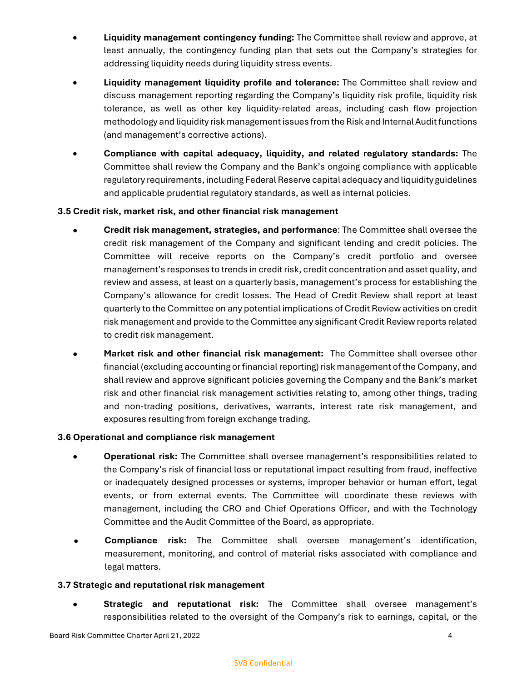- **Liquidity management contingency funding:** The Committee shall review and approve, at least annually, the contingency funding plan that sets out the Company's strategies for addressing liquidity needs during liquidity stress events.
- **Liquidity management liquidity profile and tolerance:** The Committee shall review and discuss management reporting regarding the Company's liquidity risk profile, liquidity risk tolerance, as well as other key liquidity-related areas, including cash flow projection methodology and liquidity risk management issues from the Risk and Internal Audit functions (and management's corrective actions).
- **Compliance with capital adequacy, liquidity, and related regulatory standards:** The Committee shall review the Company and the Bank's ongoing compliance with applicable regulatory requirements, including Federal Reserve capital adequacy and liquidity guidelines and applicable prudential regulatory standards, as well as internal policies.

### **3.5 Credit risk, market risk, and other financial risk management**

- **Credit risk management, strategies, and performance**: The Committee shall oversee the credit risk management of the Company and significant lending and credit policies. The Committee will receive reports on the Company's credit portfolio and oversee management's responses to trends in credit risk, credit concentration and asset quality, and review and assess, at least on a quarterly basis, management's process for establishing the Company's allowance for credit losses. The Head of Credit Review shall report at least quarterly to the Committee on any potential implications of Credit Review activities on credit risk management and provide to the Committee any significant Credit Review reports related to credit risk management.
- **Market risk and other financial risk management:** The Committee shall oversee other financial (excluding accounting or financial reporting) risk management of the Company, and shall review and approve significant policies governing the Company and the Bank's market risk and other financial risk management activities relating to, among other things, trading and non-trading positions, derivatives, warrants, interest rate risk management, and exposures resulting from foreign exchange trading.

### **3.6 Operational and compliance risk management**

- **Operational risk:** The Committee shall oversee management's responsibilities related to the Company's risk of financial loss or reputational impact resulting from fraud, ineffective or inadequately designed processes or systems, improper behavior or human effort, legal events, or from external events. The Committee will coordinate these reviews with management, including the CRO and Chief Operations Officer, and with the Technology Committee and the Audit Committee of the Board, as appropriate.
- **Compliance risk:** The Committee shall oversee management's identification, measurement, monitoring, and control of material risks associated with compliance and legal matters.

### **3.7 Strategic and reputational risk management**

 **Strategic and reputational risk:** The Committee shall oversee management's responsibilities related to the oversight of the Company's risk to earnings, capital, or the

#### SVB Confidential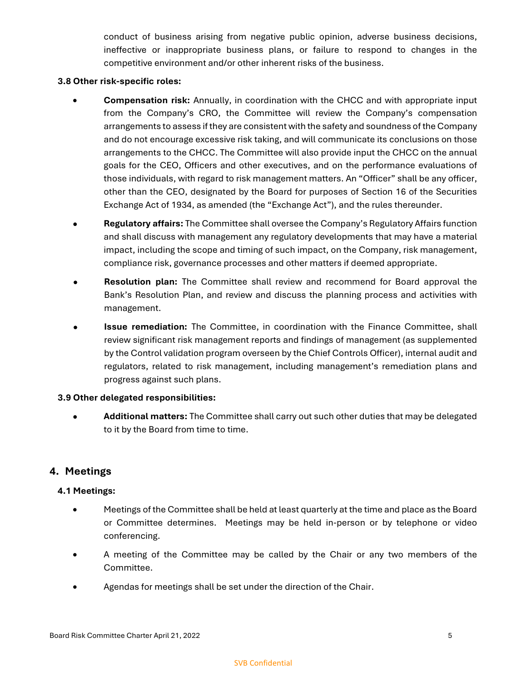conduct of business arising from negative public opinion, adverse business decisions, ineffective or inappropriate business plans, or failure to respond to changes in the competitive environment and/or other inherent risks of the business.

#### **3.8 Other risk-specific roles:**

- **Compensation risk:** Annually, in coordination with the CHCC and with appropriate input from the Company's CRO, the Committee will review the Company's compensation arrangements to assess if they are consistent with the safety and soundness of the Company and do not encourage excessive risk taking, and will communicate its conclusions on those arrangements to the CHCC. The Committee will also provide input the CHCC on the annual goals for the CEO, Officers and other executives, and on the performance evaluations of those individuals, with regard to risk management matters. An "Officer" shall be any officer, other than the CEO, designated by the Board for purposes of Section 16 of the Securities Exchange Act of 1934, as amended (the "Exchange Act"), and the rules thereunder.
- **Regulatory affairs:** The Committee shall oversee the Company's Regulatory Affairs function and shall discuss with management any regulatory developments that may have a material impact, including the scope and timing of such impact, on the Company, risk management, compliance risk, governance processes and other matters if deemed appropriate.
- **Resolution plan:** The Committee shall review and recommend for Board approval the Bank's Resolution Plan, and review and discuss the planning process and activities with management.
- **Issue remediation:** The Committee, in coordination with the Finance Committee, shall review significant risk management reports and findings of management (as supplemented by the Control validation program overseen by the Chief Controls Officer), internal audit and regulators, related to risk management, including management's remediation plans and progress against such plans.

### **3.9 Other delegated responsibilities:**

**• Additional matters:** The Committee shall carry out such other duties that may be delegated to it by the Board from time to time.

## **4. Meetings**

### **4.1 Meetings:**

- Meetings of the Committee shall be held at least quarterly at the time and place as the Board or Committee determines. Meetings may be held in-person or by telephone or video conferencing.
- A meeting of the Committee may be called by the Chair or any two members of the Committee.
- Agendas for meetings shall be set under the direction of the Chair.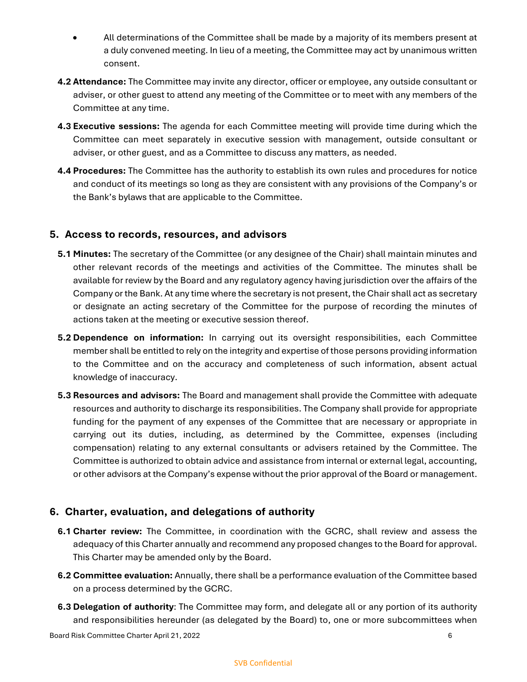- All determinations of the Committee shall be made by a majority of its members present at a duly convened meeting. In lieu of a meeting, the Committee may act by unanimous written consent.
- **4.2 Attendance:** The Committee may invite any director, officer or employee, any outside consultant or adviser, or other guest to attend any meeting of the Committee or to meet with any members of the Committee at any time.
- **4.3 Executive sessions:** The agenda for each Committee meeting will provide time during which the Committee can meet separately in executive session with management, outside consultant or adviser, or other guest, and as a Committee to discuss any matters, as needed.
- **4.4 Procedures:** The Committee has the authority to establish its own rules and procedures for notice and conduct of its meetings so long as they are consistent with any provisions of the Company's or the Bank's bylaws that are applicable to the Committee.

# **5. Access to records, resources, and advisors**

- **5.1 Minutes:** The secretary of the Committee (or any designee of the Chair) shall maintain minutes and other relevant records of the meetings and activities of the Committee. The minutes shall be available for review by the Board and any regulatory agency having jurisdiction over the affairs of the Company or the Bank. At any time where the secretary is not present, the Chair shall act as secretary or designate an acting secretary of the Committee for the purpose of recording the minutes of actions taken at the meeting or executive session thereof.
- **5.2 Dependence on information:** In carrying out its oversight responsibilities, each Committee member shall be entitled to rely on the integrity and expertise of those persons providing information to the Committee and on the accuracy and completeness of such information, absent actual knowledge of inaccuracy.
- **5.3 Resources and advisors:** The Board and management shall provide the Committee with adequate resources and authority to discharge its responsibilities. The Company shall provide for appropriate funding for the payment of any expenses of the Committee that are necessary or appropriate in carrying out its duties, including, as determined by the Committee, expenses (including compensation) relating to any external consultants or advisers retained by the Committee. The Committee is authorized to obtain advice and assistance from internal or external legal, accounting, or other advisors at the Company's expense without the prior approval of the Board or management.

# **6. Charter, evaluation, and delegations of authority**

- **6.1 Charter review:** The Committee, in coordination with the GCRC, shall review and assess the adequacy of this Charter annually and recommend any proposed changes to the Board for approval. This Charter may be amended only by the Board.
- **6.2 Committee evaluation:** Annually, there shall be a performance evaluation of the Committee based on a process determined by the GCRC.
- **6.3 Delegation of authority**: The Committee may form, and delegate all or any portion of its authority and responsibilities hereunder (as delegated by the Board) to, one or more subcommittees when